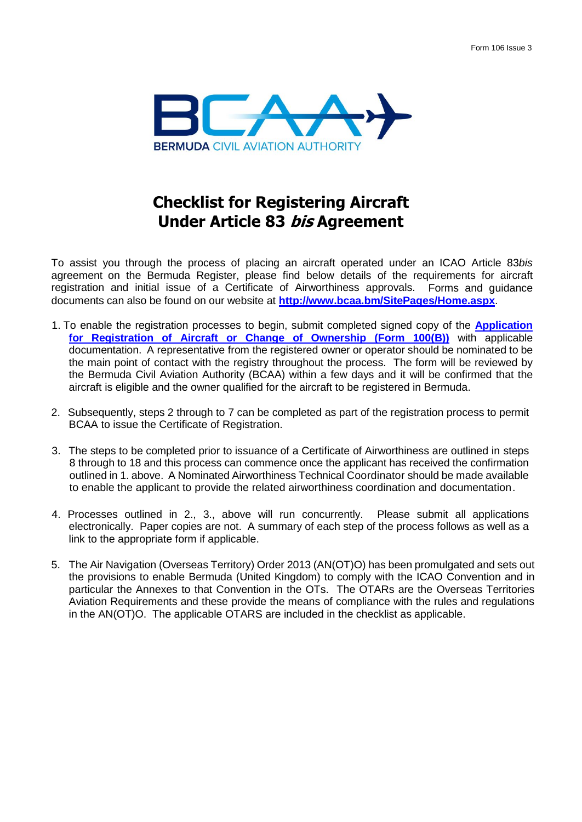

## **Checklist for Registering Aircraft Under Article 83 bis Agreement**

To assist you through the process of placing an aircraft operated under an ICAO Article 83*bis*  agreement on the Bermuda Register, please find below details of the requirements for aircraft registration and initial issue of a Certificate of Airworthiness approvals. Forms and guidance documents can also be found on our website at **<http://www.bcaa.bm/SitePages/Home.aspx>**.

- 1. To enable the registration processes to begin, submit completed signed copy of the **[Application](http://www.bcaa.bm/sites/default/files/Web%20Docs/Forms/FORM-REG-100-RegistrationACChngOwner.pdf)  [for Registration of Aircraft or Change of Ownership \(Form 100\(B\)\)](http://www.bcaa.bm/sites/default/files/Web%20Docs/Forms/FORM-REG-100-RegistrationACChngOwner.pdf)** with applicable documentation. A representative from the registered owner or operator should be nominated to be the main point of contact with the registry throughout the process. The form will be reviewed by the Bermuda Civil Aviation Authority (BCAA) within a few days and it will be confirmed that the aircraft is eligible and the owner qualified for the aircraft to be registered in Bermuda.
- 2. Subsequently, steps 2 through to 7 can be completed as part of the registration process to permit BCAA to issue the Certificate of Registration.
- 3. The steps to be completed prior to issuance of a Certificate of Airworthiness are outlined in steps 8 through to 18 and this process can commence once the applicant has received the confirmation outlined in 1. above. A Nominated Airworthiness Technical Coordinator should be made available to enable the applicant to provide the related airworthiness coordination and documentation.
- 4. Processes outlined in 2., 3., above will run concurrently. Please submit all applications electronically. Paper copies are not. A summary of each step of the process follows as well as a link to the appropriate form if applicable.
- 5. The Air Navigation (Overseas Territory) Order 2013 (AN(OT)O) has been promulgated and sets out the provisions to enable Bermuda (United Kingdom) to comply with the ICAO Convention and in particular the Annexes to that Convention in the OTs. The OTARs are the Overseas Territories Aviation Requirements and these provide the means of compliance with the rules and regulations in the AN(OT)O. The applicable OTARS are included in the checklist as applicable.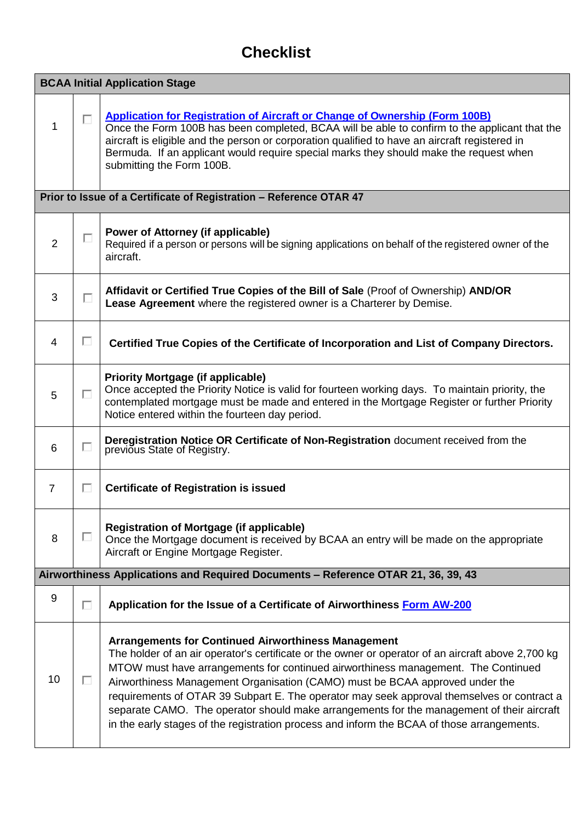## **Checklist**

| <b>BCAA Initial Application Stage</b>                               |   |                                                                                                                                                                                                                                                                                                                                                                                                                                                                                                                                                                                                                                |  |
|---------------------------------------------------------------------|---|--------------------------------------------------------------------------------------------------------------------------------------------------------------------------------------------------------------------------------------------------------------------------------------------------------------------------------------------------------------------------------------------------------------------------------------------------------------------------------------------------------------------------------------------------------------------------------------------------------------------------------|--|
| 1                                                                   | П | <b>Application for Registration of Aircraft or Change of Ownership (Form 100B)</b><br>Once the Form 100B has been completed, BCAA will be able to confirm to the applicant that the<br>aircraft is eligible and the person or corporation qualified to have an aircraft registered in<br>Bermuda. If an applicant would require special marks they should make the request when<br>submitting the Form 100B.                                                                                                                                                                                                                   |  |
| Prior to Issue of a Certificate of Registration - Reference OTAR 47 |   |                                                                                                                                                                                                                                                                                                                                                                                                                                                                                                                                                                                                                                |  |
| $\overline{2}$                                                      | п | <b>Power of Attorney (if applicable)</b><br>Required if a person or persons will be signing applications on behalf of the registered owner of the<br>aircraft.                                                                                                                                                                                                                                                                                                                                                                                                                                                                 |  |
| 3                                                                   | П | Affidavit or Certified True Copies of the Bill of Sale (Proof of Ownership) AND/OR<br>Lease Agreement where the registered owner is a Charterer by Demise.                                                                                                                                                                                                                                                                                                                                                                                                                                                                     |  |
| 4                                                                   | П | Certified True Copies of the Certificate of Incorporation and List of Company Directors.                                                                                                                                                                                                                                                                                                                                                                                                                                                                                                                                       |  |
| 5                                                                   | П | <b>Priority Mortgage (if applicable)</b><br>Once accepted the Priority Notice is valid for fourteen working days. To maintain priority, the<br>contemplated mortgage must be made and entered in the Mortgage Register or further Priority<br>Notice entered within the fourteen day period.                                                                                                                                                                                                                                                                                                                                   |  |
| 6                                                                   | П | Deregistration Notice OR Certificate of Non-Registration document received from the<br>previous State of Registry.                                                                                                                                                                                                                                                                                                                                                                                                                                                                                                             |  |
| 7                                                                   | □ | <b>Certificate of Registration is issued</b>                                                                                                                                                                                                                                                                                                                                                                                                                                                                                                                                                                                   |  |
| 8                                                                   | □ | <b>Registration of Mortgage (if applicable)</b><br>Once the Mortgage document is received by BCAA an entry will be made on the appropriate<br>Aircraft or Engine Mortgage Register.                                                                                                                                                                                                                                                                                                                                                                                                                                            |  |
|                                                                     |   | Airworthiness Applications and Required Documents - Reference OTAR 21, 36, 39, 43                                                                                                                                                                                                                                                                                                                                                                                                                                                                                                                                              |  |
| 9                                                                   | п | Application for the Issue of a Certificate of Airworthiness Form AW-200                                                                                                                                                                                                                                                                                                                                                                                                                                                                                                                                                        |  |
| 10                                                                  | ш | <b>Arrangements for Continued Airworthiness Management</b><br>The holder of an air operator's certificate or the owner or operator of an aircraft above 2,700 kg<br>MTOW must have arrangements for continued airworthiness management. The Continued<br>Airworthiness Management Organisation (CAMO) must be BCAA approved under the<br>requirements of OTAR 39 Subpart E. The operator may seek approval themselves or contract a<br>separate CAMO. The operator should make arrangements for the management of their aircraft<br>in the early stages of the registration process and inform the BCAA of those arrangements. |  |